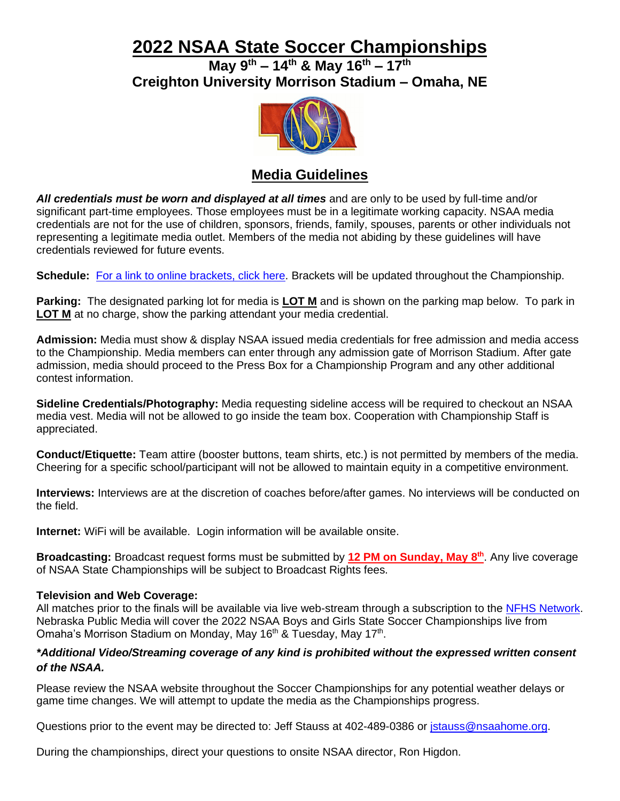# **2022 NSAA State Soccer Championships**

**May 9 th – 14 th & May 16 th – 17 th Creighton University Morrison Stadium – Omaha, NE**



### **Media Guidelines**

*All credentials must be worn and displayed at all times* and are only to be used by full-time and/or significant part-time employees. Those employees must be in a legitimate working capacity. NSAA media credentials are not for the use of children, sponsors, friends, family, spouses, parents or other individuals not representing a legitimate media outlet. Members of the media not abiding by these guidelines will have credentials reviewed for future events.

**Schedule:** [For a link to online brackets, click here.](https://nsaa-static.s3.amazonaws.com/textfile/soccer/sobracket.pdf) Brackets will be updated throughout the Championship.

**Parking:** The designated parking lot for media is **LOT M** and is shown on the parking map below. To park in **LOT M** at no charge, show the parking attendant your media credential.

**Admission:** Media must show & display NSAA issued media credentials for free admission and media access to the Championship. Media members can enter through any admission gate of Morrison Stadium. After gate admission, media should proceed to the Press Box for a Championship Program and any other additional contest information.

**Sideline Credentials/Photography:** Media requesting sideline access will be required to checkout an NSAA media vest. Media will not be allowed to go inside the team box. Cooperation with Championship Staff is appreciated.

**Conduct/Etiquette:** Team attire (booster buttons, team shirts, etc.) is not permitted by members of the media. Cheering for a specific school/participant will not be allowed to maintain equity in a competitive environment.

**Interviews:** Interviews are at the discretion of coaches before/after games. No interviews will be conducted on the field.

**Internet:** WiFi will be available. Login information will be available onsite.

**Broadcasting:** Broadcast request forms must be submitted by **12 PM on Sunday, May 8 th** . Any live coverage of NSAA State Championships will be subject to Broadcast Rights fees.

#### **Television and Web Coverage:**

All matches prior to the finals will be available via live web-stream through a subscription to the [NFHS Network.](http://www.nfhsnetwork.com/channels/nebraska) Nebraska Public Media will cover the 2022 NSAA Boys and Girls State Soccer Championships live from Omaha's Morrison Stadium on Monday, May 16<sup>th</sup> & Tuesday, May 17<sup>th</sup>.

#### *\*Additional Video/Streaming coverage of any kind is prohibited without the expressed written consent of the NSAA.*

Please review the NSAA website throughout the Soccer Championships for any potential weather delays or game time changes. We will attempt to update the media as the Championships progress.

Questions prior to the event may be directed to: Jeff Stauss at 402-489-0386 or [jstauss@nsaahome.org.](mailto:jstauss@nsaahome.org)

During the championships, direct your questions to onsite NSAA director, Ron Higdon.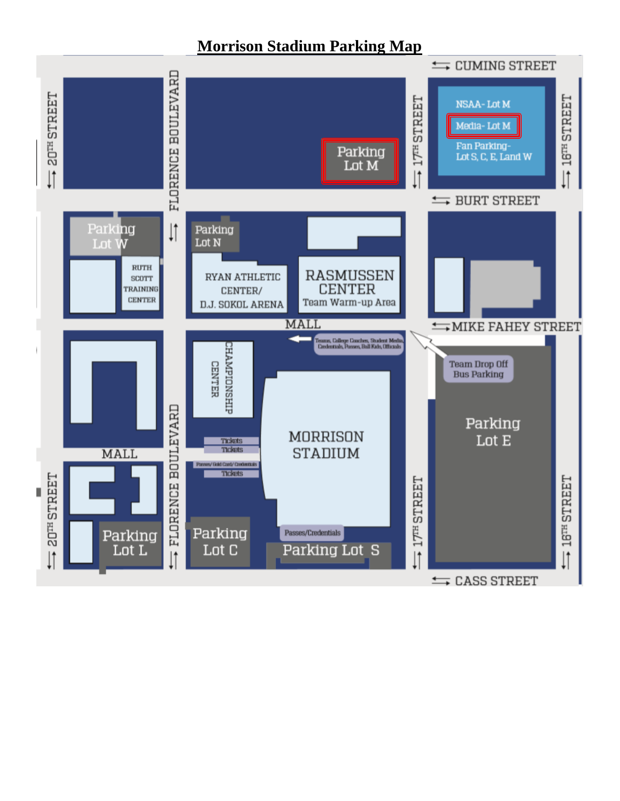## **Morrison Stadium Parking Map**